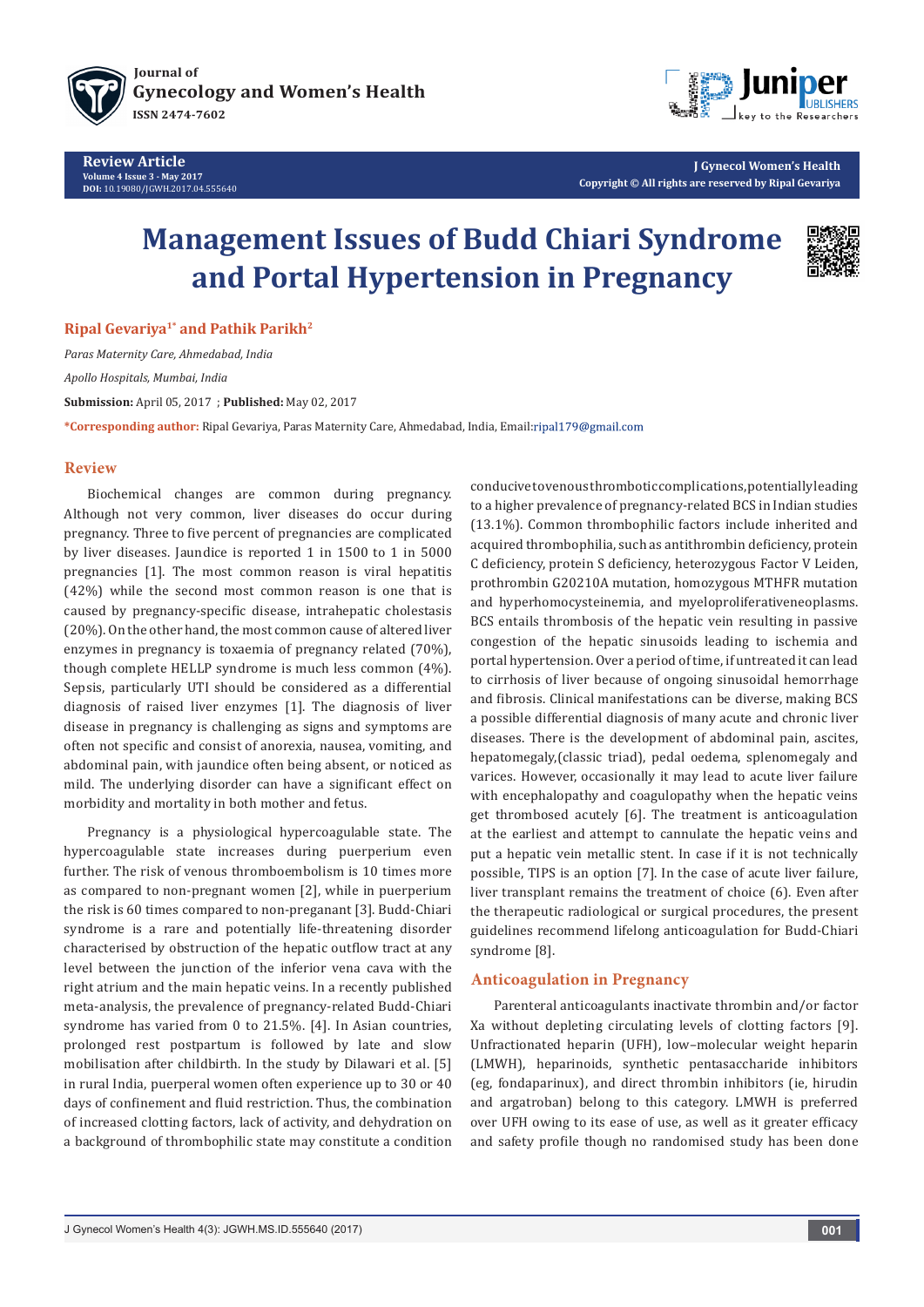



**J Gynecol Women's Health Copyright © All rights are reserved by Ripal Gevariya**

# **Management Issues of Budd Chiari Syndrome and Portal Hypertension in Pregnancy**



**Ripal Gevariya1\* and Pathik Parikh2**

*Paras Maternity Care, Ahmedabad, India*

*Apollo Hospitals, Mumbai, India*

**Submission:** April 05, 2017 ; **Published:** May 02, 2017

**\*Corresponding author:** Ripal Gevariya, Paras Maternity Care, Ahmedabad, India, Email:

## **Review**

Biochemical changes are common during pregnancy. Although not very common, liver diseases do occur during pregnancy. Three to five percent of pregnancies are complicated by liver diseases. Jaundice is reported 1 in 1500 to 1 in 5000 pregnancies [1]. The most common reason is viral hepatitis (42%) while the second most common reason is one that is caused by pregnancy-specific disease, intrahepatic cholestasis (20%). On the other hand, the most common cause of altered liver enzymes in pregnancy is toxaemia of pregnancy related (70%), though complete HELLP syndrome is much less common (4%). Sepsis, particularly UTI should be considered as a differential diagnosis of raised liver enzymes [1]. The diagnosis of liver disease in pregnancy is challenging as signs and symptoms are often not specific and consist of anorexia, nausea, vomiting, and abdominal pain, with jaundice often being absent, or noticed as mild. The underlying disorder can have a significant effect on morbidity and mortality in both mother and fetus.

Pregnancy is a physiological hypercoagulable state. The hypercoagulable state increases during puerperium even further. The risk of venous thromboembolism is 10 times more as compared to non-pregnant women [2], while in puerperium the risk is 60 times compared to non-preganant [3]. Budd-Chiari syndrome is a rare and potentially life-threatening disorder characterised by obstruction of the hepatic outflow tract at any level between the junction of the inferior vena cava with the right atrium and the main hepatic veins. In a recently published meta-analysis, the prevalence of pregnancy-related Budd-Chiari syndrome has varied from 0 to 21.5%. [4]. In Asian countries, prolonged rest postpartum is followed by late and slow mobilisation after childbirth. In the study by Dilawari et al. [5] in rural India, puerperal women often experience up to 30 or 40 days of confinement and fluid restriction. Thus, the combination of increased clotting factors, lack of activity, and dehydration on a background of thrombophilic state may constitute a condition

conducive to venous thrombotic complications, potentially leading to a higher prevalence of pregnancy-related BCS in Indian studies (13.1%). Common thrombophilic factors include inherited and acquired thrombophilia, such as antithrombin deficiency, protein C deficiency, protein S deficiency, heterozygous Factor V Leiden, prothrombin G20210A mutation, homozygous MTHFR mutation and hyperhomocysteinemia, and myeloproliferativeneoplasms. BCS entails thrombosis of the hepatic vein resulting in passive congestion of the hepatic sinusoids leading to ischemia and portal hypertension. Over a period of time, if untreated it can lead to cirrhosis of liver because of ongoing sinusoidal hemorrhage and fibrosis. Clinical manifestations can be diverse, making BCS a possible differential diagnosis of many acute and chronic liver diseases. There is the development of abdominal pain, ascites, hepatomegaly,(classic triad), pedal oedema, splenomegaly and varices. However, occasionally it may lead to acute liver failure with encephalopathy and coagulopathy when the hepatic veins get thrombosed acutely [6]. The treatment is anticoagulation at the earliest and attempt to cannulate the hepatic veins and put a hepatic vein metallic stent. In case if it is not technically possible, TIPS is an option [7]. In the case of acute liver failure, liver transplant remains the treatment of choice (6). Even after the therapeutic radiological or surgical procedures, the present guidelines recommend lifelong anticoagulation for Budd-Chiari syndrome [8].

## **Anticoagulation in Pregnancy**

Parenteral anticoagulants inactivate thrombin and/or factor Xa without depleting circulating levels of clotting factors [9]. Unfractionated heparin (UFH), low–molecular weight heparin (LMWH), heparinoids, synthetic pentasaccharide inhibitors (eg, fondaparinux), and direct thrombin inhibitors (ie, hirudin and argatroban) belong to this category. LMWH is preferred over UFH owing to its ease of use, as well as it greater efficacy and safety profile though no randomised study has been done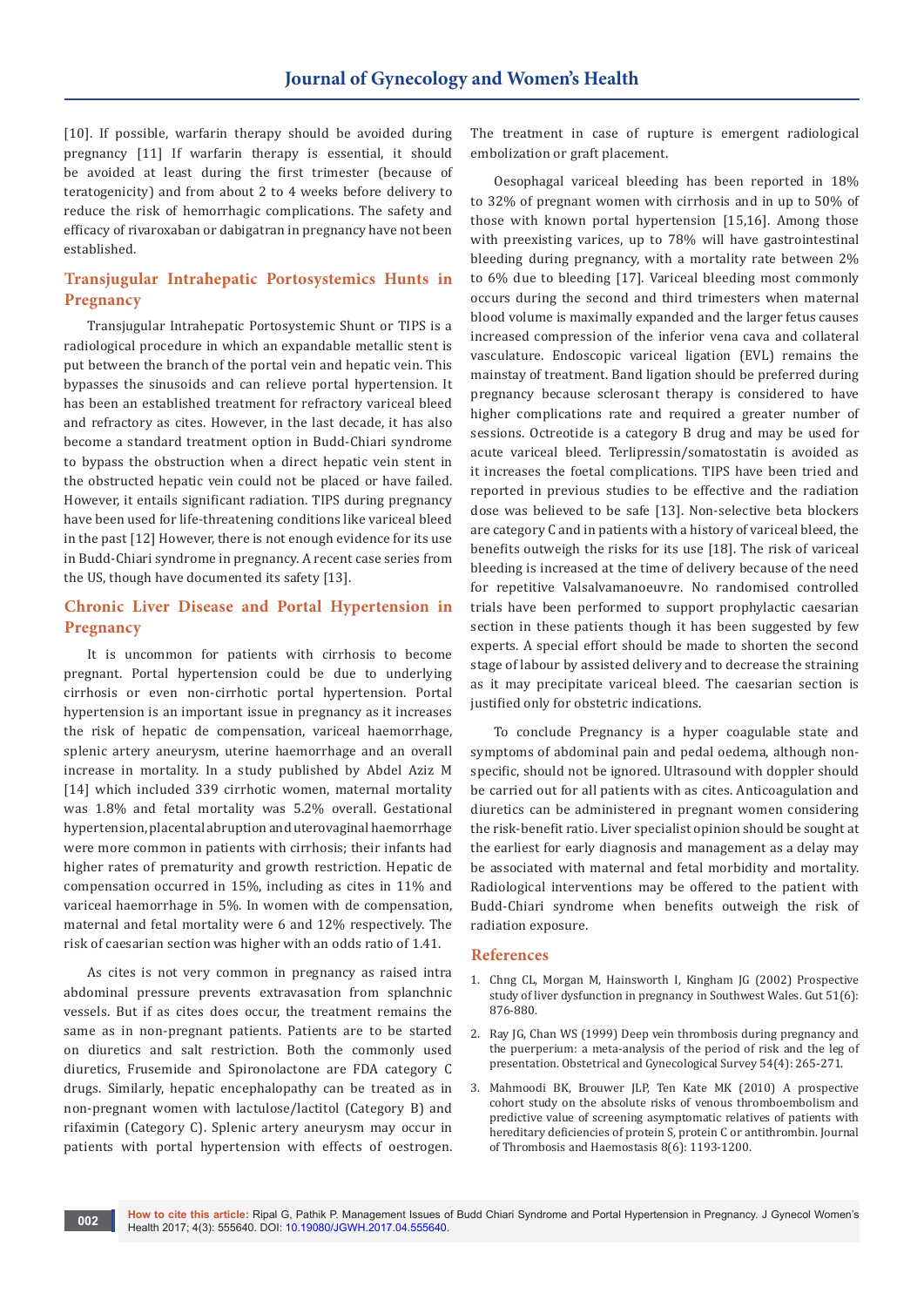[10]. If possible, warfarin therapy should be avoided during pregnancy [11] If warfarin therapy is essential, it should be avoided at least during the first trimester (because of teratogenicity) and from about 2 to 4 weeks before delivery to reduce the risk of hemorrhagic complications. The safety and efficacy of rivaroxaban or dabigatran in pregnancy have not been established.

## **Transjugular Intrahepatic Portosystemics Hunts in Pregnancy**

Transjugular Intrahepatic Portosystemic Shunt or TIPS is a radiological procedure in which an expandable metallic stent is put between the branch of the portal vein and hepatic vein. This bypasses the sinusoids and can relieve portal hypertension. It has been an established treatment for refractory variceal bleed and refractory as cites. However, in the last decade, it has also become a standard treatment option in Budd-Chiari syndrome to bypass the obstruction when a direct hepatic vein stent in the obstructed hepatic vein could not be placed or have failed. However, it entails significant radiation. TIPS during pregnancy have been used for life-threatening conditions like variceal bleed in the past [12] However, there is not enough evidence for its use in Budd-Chiari syndrome in pregnancy. A recent case series from the US, though have documented its safety [13].

## **Chronic Liver Disease and Portal Hypertension in Pregnancy**

It is uncommon for patients with cirrhosis to become pregnant. Portal hypertension could be due to underlying cirrhosis or even non-cirrhotic portal hypertension. Portal hypertension is an important issue in pregnancy as it increases the risk of hepatic de compensation, variceal haemorrhage, splenic artery aneurysm, uterine haemorrhage and an overall increase in mortality. In a study published by Abdel Aziz M [14] which included 339 cirrhotic women, maternal mortality was 1.8% and fetal mortality was 5.2% overall. Gestational hypertension, placental abruption and uterovaginal haemorrhage were more common in patients with cirrhosis; their infants had higher rates of prematurity and growth restriction. Hepatic de compensation occurred in 15%, including as cites in 11% and variceal haemorrhage in 5%. In women with de compensation, maternal and fetal mortality were 6 and 12% respectively. The risk of caesarian section was higher with an odds ratio of 1.41.

As cites is not very common in pregnancy as raised intra abdominal pressure prevents extravasation from splanchnic vessels. But if as cites does occur, the treatment remains the same as in non-pregnant patients. Patients are to be started on diuretics and salt restriction. Both the commonly used diuretics, Frusemide and Spironolactone are FDA category C drugs. Similarly, hepatic encephalopathy can be treated as in non-pregnant women with lactulose/lactitol (Category B) and rifaximin (Category C). Splenic artery aneurysm may occur in patients with portal hypertension with effects of oestrogen. The treatment in case of rupture is emergent radiological embolization or graft placement.

Oesophagal variceal bleeding has been reported in 18% to 32% of pregnant women with cirrhosis and in up to 50% of those with known portal hypertension [15,16]. Among those with preexisting varices, up to 78% will have gastrointestinal bleeding during pregnancy, with a mortality rate between 2% to 6% due to bleeding [17]. Variceal bleeding most commonly occurs during the second and third trimesters when maternal blood volume is maximally expanded and the larger fetus causes increased compression of the inferior vena cava and collateral vasculature. Endoscopic variceal ligation (EVL) remains the mainstay of treatment. Band ligation should be preferred during pregnancy because sclerosant therapy is considered to have higher complications rate and required a greater number of sessions. Octreotide is a category B drug and may be used for acute variceal bleed. Terlipressin/somatostatin is avoided as it increases the foetal complications. TIPS have been tried and reported in previous studies to be effective and the radiation dose was believed to be safe [13]. Non-selective beta blockers are category C and in patients with a history of variceal bleed, the benefits outweigh the risks for its use [18]. The risk of variceal bleeding is increased at the time of delivery because of the need for repetitive Valsalvamanoeuvre. No randomised controlled trials have been performed to support prophylactic caesarian section in these patients though it has been suggested by few experts. A special effort should be made to shorten the second stage of labour by assisted delivery and to decrease the straining as it may precipitate variceal bleed. The caesarian section is justified only for obstetric indications.

To conclude Pregnancy is a hyper coagulable state and symptoms of abdominal pain and pedal oedema, although nonspecific, should not be ignored. Ultrasound with doppler should be carried out for all patients with as cites. Anticoagulation and diuretics can be administered in pregnant women considering the risk-benefit ratio. Liver specialist opinion should be sought at the earliest for early diagnosis and management as a delay may be associated with maternal and fetal morbidity and mortality. Radiological interventions may be offered to the patient with Budd-Chiari syndrome when benefits outweigh the risk of radiation exposure.

## **References**

- 1. [Chng CL, Morgan M, Hainsworth I, Kingham JG \(2002\) Prospective](https://www.ncbi.nlm.nih.gov/pubmed/12427793)  [study of liver dysfunction in pregnancy in Southwest Wales. Gut 51\(6\):](https://www.ncbi.nlm.nih.gov/pubmed/12427793)  [876-880.](https://www.ncbi.nlm.nih.gov/pubmed/12427793)
- 2. [Ray JG, Chan WS \(1999\) Deep vein thrombosis during pregnancy and](https://www.ncbi.nlm.nih.gov/pubmed/10198931)  [the puerperium: a meta-analysis of the period of risk and the leg of](https://www.ncbi.nlm.nih.gov/pubmed/10198931)  [presentation. Obstetrical and Gynecological Survey 54\(4\): 265-271.](https://www.ncbi.nlm.nih.gov/pubmed/10198931)
- 3. [Mahmoodi BK, Brouwer JLP, Ten Kate MK \(2010\) A prospective](https://www.ncbi.nlm.nih.gov/pubmed/20230415)  [cohort study on the absolute risks of venous thromboembolism and](https://www.ncbi.nlm.nih.gov/pubmed/20230415)  [predictive value of screening asymptomatic relatives of patients with](https://www.ncbi.nlm.nih.gov/pubmed/20230415)  [hereditary deficiencies of protein S, protein C or antithrombin. Journal](https://www.ncbi.nlm.nih.gov/pubmed/20230415)  [of Thrombosis and Haemostasis 8\(6\): 1193-1200.](https://www.ncbi.nlm.nih.gov/pubmed/20230415)